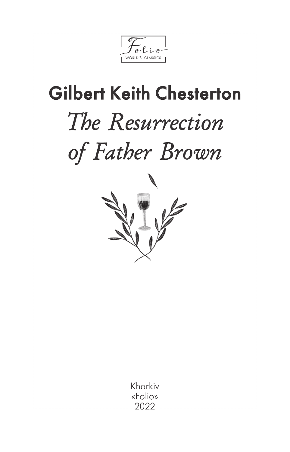WORLD'S CLASSICS

## **Gilbert Keith Chesterton** The Resurrection of Father Brown



Kharkiv «Folio» 2022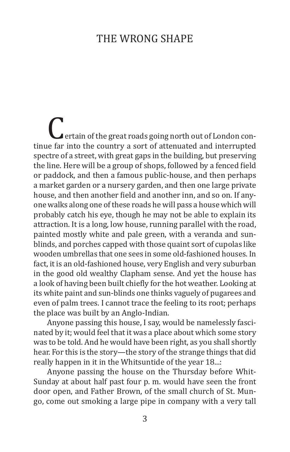## The Wrong Shape

**C**ertain of the great roads going north out of London continue far into the country a sort of attenuated and interrupted spectre of a street, with great gaps in the building, but preserving the line. Here will be a group of shops, followed by a fenced field or paddock, and then a famous public-house, and then perhaps a market garden or a nursery garden, and then one large private house, and then another field and another inn, and so on. If anyone walks along one of these roads he will pass a house which will probably catch his eye, though he may not be able to explain its attraction. It is a long, low house, running parallel with the road, painted mostly white and pale green, with a veranda and sunblinds, and porches capped with those quaint sort of cupolas like wooden umbrellas that one sees in some old-fashioned houses. In fact, it is an old-fashioned house, very English and very suburban in the good old wealthy Clapham sense. And yet the house has a look of having been built chiefly for the hot weather. Looking at its white paint and sun-blinds one thinks vaguely of pugarees and even of palm trees. I cannot trace the feeling to its root; perhaps the place was built by an Anglo-Indian.

Anyone passing this house, I say, would be namelessly fascinated by it; would feel that it was a place about which some story was to be told. And he would have been right, as you shall shortly hear. For this is the story—the story of the strange things that did really happen in it in the Whitsuntide of the year 18...:

Anyone passing the house on the Thursday before Whit-Sunday at about half past four p. m. would have seen the front door open, and Father Brown, of the small church of St. Mungo, come out smoking a large pipe in company with a very tall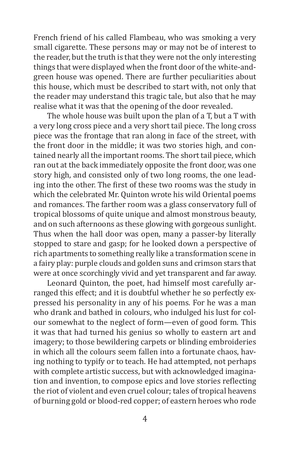French friend of his called Flambeau, who was smoking a very small cigarette. These persons may or may not be of interest to the reader, but the truth is that they were not the only interesting things that were displayed when the front door of the white-andgreen house was opened. There are further peculiarities about this house, which must be described to start with, not only that the reader may understand this tragic tale, but also that he may realise what it was that the opening of the door revealed.

The whole house was built upon the plan of a T, but a T with a very long cross piece and a very short tail piece. The long cross piece was the frontage that ran along in face of the street, with the front door in the middle; it was two stories high, and contained nearly all the important rooms. The short tail piece, which ran out at the back immediately opposite the front door, was one story high, and consisted only of two long rooms, the one leading into the other. The first of these two rooms was the study in which the celebrated Mr. Quinton wrote his wild Oriental poems and romances. The farther room was a glass conservatory full of tropical blossoms of quite unique and almost monstrous beauty, and on such afternoons as these glowing with gorgeous sunlight. Thus when the hall door was open, many a passer-by literally stopped to stare and gasp; for he looked down a perspective of rich apartments to something really like a transformation scene in a fairy play: purple clouds and golden suns and crimson stars that were at once scorchingly vivid and yet transparent and far away.

Leonard Quinton, the poet, had himself most carefully arranged this effect; and it is doubtful whether he so perfectly expressed his personality in any of his poems. For he was a man who drank and bathed in colours, who indulged his lust for colour somewhat to the neglect of form—even of good form. This it was that had turned his genius so wholly to eastern art and imagery; to those bewildering carpets or blinding embroideries in which all the colours seem fallen into a fortunate chaos, having nothing to typify or to teach. He had attempted, not perhaps with complete artistic success, but with acknowledged imagination and invention, to compose epics and love stories reflecting the riot of violent and even cruel colour; tales of tropical heavens of burning gold or blood-red copper; of eastern heroes who rode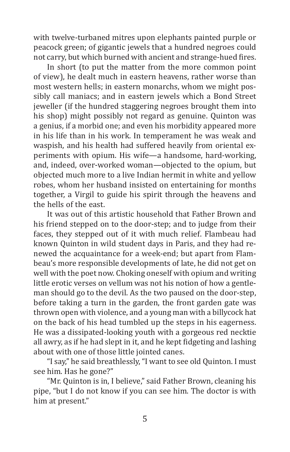with twelve-turbaned mitres upon elephants painted purple or peacock green; of gigantic jewels that a hundred negroes could not carry, but which burned with ancient and strange-hued fires.

In short (to put the matter from the more common point of view), he dealt much in eastern heavens, rather worse than most western hells; in eastern monarchs, whom we might possibly call maniacs; and in eastern jewels which a Bond Street jeweller (if the hundred staggering negroes brought them into his shop) might possibly not regard as genuine. Quinton was a genius, if a morbid one; and even his morbidity appeared more in his life than in his work. In temperament he was weak and waspish, and his health had suffered heavily from oriental experiments with opium. His wife—a handsome, hard-working, and, indeed, over-worked woman—objected to the opium, but objected much more to a live Indian hermit in white and yellow robes, whom her husband insisted on entertaining for months together, a Virgil to guide his spirit through the heavens and the hells of the east.

It was out of this artistic household that Father Brown and his friend stepped on to the door-step; and to judge from their faces, they stepped out of it with much relief. Flambeau had known Quinton in wild student days in Paris, and they had renewed the acquaintance for a week-end; but apart from Flambeau's more responsible developments of late, he did not get on well with the poet now. Choking oneself with opium and writing little erotic verses on vellum was not his notion of how a gentleman should go to the devil. As the two paused on the door-step, before taking a turn in the garden, the front garden gate was thrown open with violence, and a young man with a billycock hat on the back of his head tumbled up the steps in his eagerness. He was a dissipated-looking youth with a gorgeous red necktie all awry, as if he had slept in it, and he kept fidgeting and lashing about with one of those little jointed canes.

"I say," he said breathlessly, "I want to see old Quinton. I must see him. Has he gone?"

"Mr. Quinton is in, I believe," said Father Brown, cleaning his pipe, "but I do not know if you can see him. The doctor is with him at present."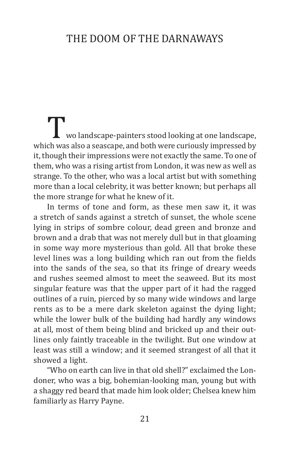## The Doom of the Darnaways

Two landscape-painters stood looking at one landscape, which was also a seascape, and both were curiously impressed by it, though their impressions were not exactly the same. To one of them, who was a rising artist from London, it was new as well as strange. To the other, who was a local artist but with something more than a local celebrity, it was better known; but perhaps all the more strange for what he knew of it.

In terms of tone and form, as these men saw it, it was a stretch of sands against a stretch of sunset, the whole scene lying in strips of sombre colour, dead green and bronze and brown and a drab that was not merely dull but in that gloaming in some way more mysterious than gold. All that broke these level lines was a long building which ran out from the fields into the sands of the sea, so that its fringe of dreary weeds and rushes seemed almost to meet the seaweed. But its most singular feature was that the upper part of it had the ragged outlines of a ruin, pierced by so many wide windows and large rents as to be a mere dark skeleton against the dying light; while the lower bulk of the building had hardly any windows at all, most of them being blind and bricked up and their outlines only faintly traceable in the twilight. But one window at least was still a window; and it seemed strangest of all that it showed a light.

"Who on earth can live in that old shell?" exclaimed the Londoner, who was a big, bohemian-looking man, young but with a shaggy red beard that made him look older; Chelsea knew him familiarly as Harry Payne.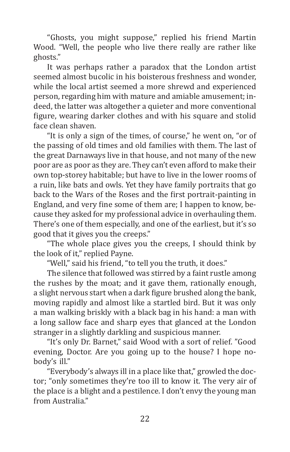"Ghosts, you might suppose," replied his friend Martin Wood. "Well, the people who live there really are rather like ghosts."

It was perhaps rather a paradox that the London artist seemed almost bucolic in his boisterous freshness and wonder, while the local artist seemed a more shrewd and experienced person, regarding him with mature and amiable amusement; indeed, the latter was altogether a quieter and more conventional figure, wearing darker clothes and with his square and stolid face clean shaven.

"It is only a sign of the times, of course," he went on, "or of the passing of old times and old families with them. The last of the great Darnaways live in that house, and not many of the new poor are as poor as they are. They can't even afford to make their own top-storey habitable; but have to live in the lower rooms of a ruin, like bats and owls. Yet they have family portraits that go back to the Wars of the Roses and the first portrait-painting in England, and very fine some of them are; I happen to know, because they asked for my professional advice in overhauling them. There's one of them especially, and one of the earliest, but it's so good that it gives you the creeps."

"The whole place gives you the creeps, I should think by the look of it," replied Payne.

"Well," said his friend, "to tell you the truth, it does."

The silence that followed was stirred by a faint rustle among the rushes by the moat; and it gave them, rationally enough, a slight nervous start when a dark figure brushed along the bank, moving rapidly and almost like a startled bird. But it was only a man walking briskly with a black bag in his hand: a man with a long sallow face and sharp eyes that glanced at the London stranger in a slightly darkling and suspicious manner.

"It's only Dr. Barnet," said Wood with a sort of relief. "Good evening, Doctor. Are you going up to the house? I hope nobody's ill."

"Everybody's always ill in a place like that," growled the doctor; "only sometimes they're too ill to know it. The very air of the place is a blight and a pestilence. I don't envy the young man from Australia."